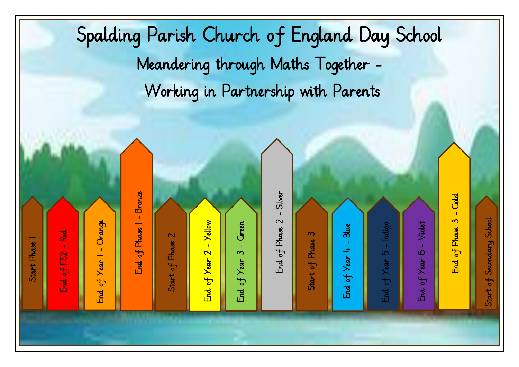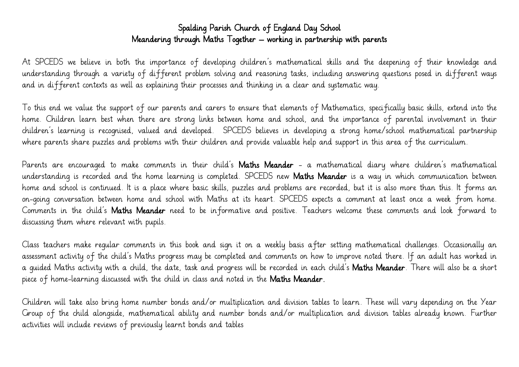## Spalding Parish Church of England Day School Meandering through Maths Together – working in partnership with parents

At SPCEDS we believe in both the importance of developing children's mathematical skills and the deepening of their knowledge and understanding through a variety of different problem solving and reasoning tasks, including answering questions posed in different ways and in different contexts as well as explaining their processes and thinking in a clear and systematic way.

To this end we value the support of our parents and carers to ensure that elements of Mathematics, specifically basic skills, extend into the home. Children learn best when there are strong links between home and school, and the importance of parental involvement in their children's learning is recognised, valued and developed. SPCEDS believes in developing a strong home/school mathematical partnership where parents share puzzles and problems with their children and provide valuable help and support in this area of the curriculum.

Parents are encouraged to make comments in their child's Maths Meander - a mathematical diary where children's mathematical understanding is recorded and the home learning is completed. SPCEDS new Maths Meander is a way in which communication between home and school is continued. It is a place where basic skills, puzzles and problems are recorded, but it is also more than this. It forms an on-going conversation between home and school with Maths at its heart. SPCEDS expects a comment at least once a week from home. Comments in the child's Maths Meander need to be informative and positive. Teachers welcome these comments and look forward to discussing them where relevant with pupils.

Class teachers make regular comments in this book and sign it on a weekly basis after setting mathematical challenges. Occasionally an assessment activity of the child's Maths progress may be completed and comments on how to improve noted there. If an adult has worked in a quided Maths activity with a child, the date, task and progress will be recorded in each child's **Maths Meander**. There will also be a short piece of home-learning discussed with the child in class and noted in the Maths Meander.

Children will take also bring home number bonds and/or multiplication and division tables to learn. These will vary depending on the Year Group of the child alongside, mathematical ability and number bonds and/or multiplication and division tables already known. Further activities will include reviews of previously learnt bonds and tables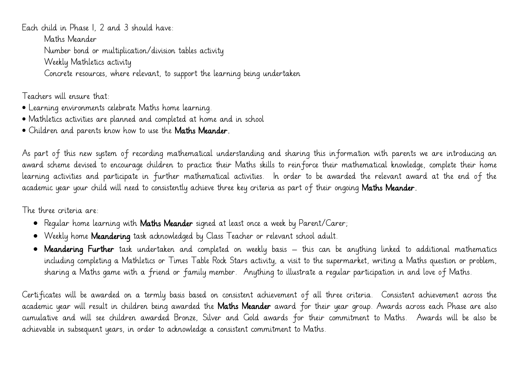Each child in Phase 1, 2 and 3 should have: Maths Meander Number bond or multiplication/division tables activity Weekly Mathletics activity Concrete resources, where relevant, to support the learning being undertaken

Teachers will ensure that:

- Learning environments celebrate Maths home learning.
- Mathletics activities are planned and completed at home and in school
- Children and parents know how to use the Maths Meander.

As part of this new system of recording mathematical understanding and sharing this information with parents we are introducing an award scheme devised to encourage children to practice their Maths skills to reinforce their mathematical knowledge, complete their home learning activities and participate in further mathematical activities. In order to be awarded the relevant award at the end of the academic year your child will need to consistently achieve three key criteria as part of their ongoing Maths Meander.

The three criteria are:

- Regular home learning with **Maths Meander** signed at least once a week by Parent/Carer;
- Weekly home Meandering task acknowledged by Class Teacher or relevant school adult.
- Meandering Further task undertaken and completed on weekly basis this can be anything linked to additional mathematics including completing a Mathletics or Times Table Rock Stars activity, a visit to the supermarket, writing a Maths question or problem, sharing a Maths game with a friend or family member. Anything to illustrate a regular participation in and love of Maths.

Certificates will be awarded on a termly basis based on consistent achievement of all three criteria. Consistent achievement across the academic year will result in children being awarded the Maths Meander award for their year group. Awards across each Phase are also cumulative and will see children awarded Bronze, Silver and Gold awards for their commitment to Maths. Awards will be also be achievable in subsequent years, in order to acknowledge a consistent commitment to Maths.